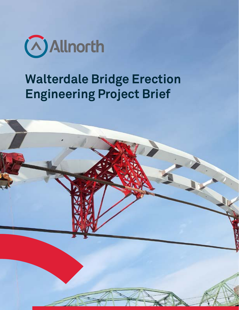

# **Walterdale Bridge Erection Engineering Project Brief**

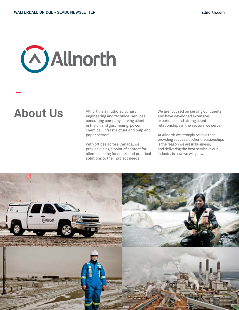# **Allnorth**

Allnorth is a multidisciplinary engineering and technical services consulting company serving clients in the oil and gas, mining, power, chemical, infrastructure and pulp and paper sectors. About Us<br>About Allnorth is a multidisciplinary<br>and have developed extensive

> With offices across Canada, we provide a single point of contact for clients looking for smart and practical solutions to their project needs.

and have developed extensive experience and strong client relationships in the sectors we serve.

At Allnorth we strongly believe that providing successful client relationships is the reason we are in business, and delivering the best service in our industry is how we will grow.

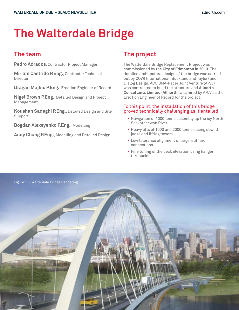## **The Walterdale Bridge**

**Pedro Adrados**, Contractor Project Manager

**Miriam Castrillo P.Eng.**, Contractor Technical Director

**Dragan Majkic P.Eng.**, Erection Engineer of Record

**Nigel Brown P.Eng.**, Detailed Design and Project Management

**Koushan Sadeghi P.Eng.**, Detailed Design and Site Support

**Bogdan Alexeyenko P.Eng.**, Modelling

**Andy Chang P.Eng.**, Modelling and Detailed Design

## **The team The project**

The Walterdale Bridge Replacement Project was commissioned by the **City of Edmonton in 2013.** The detailed architectural design of the bridge was carried out by COWI International (Buckland and Taylor) and Dialog Design. ACCIONA-Pacer Joint Venture (APJV) was contracted to build the structure and **Allnorth Consultants Limited (Allnorth)** was hired by APJV as the Erection Engineer of Record for the project.

#### To this point, the installation of this bridge proved technically challenging as it entailed:

- Navigation of 1000 tonne assembly up the icy North Saskatchewan River.
- Heavy lifts of 1000 and 2000 tonnes using strand jacks and lifting towers.
- Low tolerance alignment of large, stiff arch connections.
- Fine tuning of the deck elevation using hanger turnbuckles.

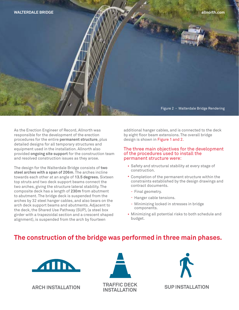

As the Erection Engineer of Record, Allnorth was responsible for the development of the erection procedures for the entire **permanent structure**, plus detailed designs for all temporary structures and equipment used in the installation. Allnorth also provided **ongoing site support** for the construction team and resolved construction issues as they arose.

The design for the Walterdale Bridge consists of **two steel arches with a span of 206m**. The arches incline towards each other at an angle of **13.5 degrees.** Sixteen top struts and two deck support beams connect the two arches, giving the structure lateral stability. The composite deck has a length of **230m** from abutment to abutment. The bridge deck is suspended from the arches by 32 steel hanger cables, and also bears on the arch deck support beams and abutments. Adjacent to the deck, the Shared Use Pathway (SUP), (a steel box girder with a trapezoidal section and a crescent shaped alignment), is suspended from the arch by fourteen

additional hanger cables, and is connected to the deck by eight floor beam extensions. The overall bridge design is shown in Figure 1 and 2.

#### The three main objectives for the development of the procedures used to install the permanent structure were:

- Safety and structural stability at every stage of construction.
- Completion of the permanent structure within the constraints established by the design drawings and contract documents.
	- Final geometry.
	- Hanger cable tensions.
	- Minimizing locked in stresses in bridge components.
- Minimizing all potential risks to both schedule and budget.

## **The construction of the bridge was performed in three main phases.**







**INSTALLATION SUP INSTALLATION**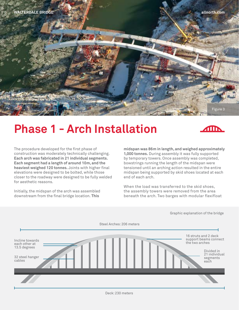

## **Phase 1 - Arch Installation**



The procedure developed for the first phase of construction was moderately technically challenging. **Each arch was fabricated in 21 individual segments. Each segment had a length of around 10m, and the heaviest weighed 120 tonnes.** Joints with higher final elevations were designed to be bolted, while those closer to the roadway were designed to be fully welded for aesthetic reasons.

Initially, the midspan of the arch was assembled downstream from the final bridge location. **This** 

**midspan was 86m in length, and weighed approximately 1,000 tonnes.** During assembly it was fully supported by temporary towers. Once assembly was completed, bowstrings running the length of the midspan were tensioned until an arching action resulted in the entire midspan being supported by skid shoes located at each end of each arch.

When the load was transferred to the skid shoes, the assembly towers were removed from the area beneath the arch. Two barges with modular flexifloat



Graphic explanation of the bridge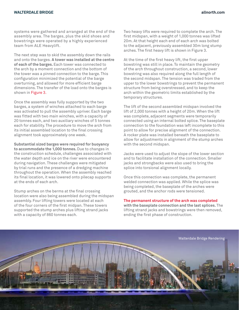systems were gathered and arranged at the end of the assembly area. The barges, plus the skid shoes and bowstrings were operated by a highly experienced team from ALE Heavylift.

The next step was to skid the assembly down the rails and onto the barges. **A tower was installed at the centre of each of the barges.** Each tower was connected to the arch by a moment connection and the bottom of the tower was a pinned connection to the barge. This configuration minimized the potential of the barge overturning, and allowed for more efficient barge dimensions. The transfer of the load onto the barges is shown in Figure 3.

Once the assembly was fully supported by the two barges, a system of winches attached to each barge was activated to pull the assembly upriver. Each barge was fitted with two main winches, with a capacity of 20 tonnes each, and two auxiliary winches of 5 tonnes each for stability. The procedure to move the arch from its initial assembled location to the final crossing alignment took approximately one week.

**Substantial sized barges were required for buoyancy to accommodate the 1,000 tonnes.** Due to changes in the construction schedule, challenges associated with the water depth and ice on the river were encountered during navigation. These challenges were mitigated by trial runs and the presence of a dredging machine throughout the operation. When the assembly reached its final location, it was lowered onto pilecap supports at the ends of each arch.

Stump arches on the berms at the final crossing location were also being assembled during the midspan assembly. Four lifting towers were located at each of the four corners of the first midpan. These towers supported the stump arches plus lifting strand jacks with a capacity of 860 tonnes each.

Two heavy lifts were required to complete the arch. The first midspan, with a weight of 1,000 tonnes was lifted 20m. At that height each end of each arch was bolted to the adjacent, previously assembled 30m long stump arches. The first heavy lift is shown in Figure 3.

At the time of the first heavy lift, the first upper bowstring was still in place. To maintain the geometry of the arch throughout construction, a second, lower bowstring was also required along the full length of the second midspan. The tension was traded from the upper to the lower bowstrings to prevent the permanent structure from being overstressed, and to keep the arch within the geometric limits established by the temporary structures.

The lift of the second assembled midspan involved the lift of 2,000 tonnes with a height of 20m. When the lift was complete, adjacent segments were temporarily connected using an internal bolted splice. The baseplate connection to the foundation was left incomplete to this point to allow for precise alignment of the connection. A rocker plate was installed beneath the baseplate to allow for adjustments in alignment of the stump arches with the second midspan.

Jacks were used to adjust the slope of the lower section and to facilitate installation of the connection. Smaller jacks and strongbacks were also used to bring the splice into torsional alignment locally.

Once this connection was complete, the permanent welded connection was applied. While the splice was being completed, the baseplate of the arches were grouted, and the anchor rods were tensioned.

#### **The permanent structure of the arch was completed**

**with the baseplate connection and the last splices.** The lifting strand jacks and bowstrings were then removed, ending the first phase of construction.

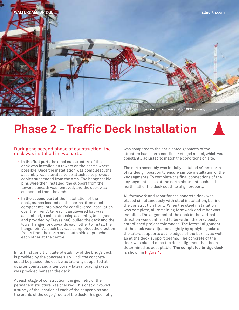

## **Phase 2 - Traffic Deck Installation**



#### During the second phase of construction, the deck was installed in two parts:

- **In the first part,** the steel substructure of the deck was installed on towers on the berms where possible. Once the installation was completed, the assembly was elevated to be attached to pre-cut cables suspended from the arch. The hanger cable pins were then installed, the support from the towers beneath was removed, and the deck was suspended from the arch.
- **In the second part** of the installation of the deck, cranes located on the berms lifted steel components into place for cantilevered installation over the river. After each cantilevered bay was assembled, a cable stressing assembly, (designed and provided by Freyssinet), pulled the deck and the lower hanger fork towards each other to install the hanger pin. As each bay was completed, the erection fronts from the north and south side approached each other at the centre.

In its final condition, lateral stability of the bridge deck is provided by the concrete slab. Until the concrete could be placed, the deck was laterally supported at quarter points, and a temporary lateral bracing system was provided beneath the deck.

At each stage of construction, the geometry of the permanent structure was checked. This check involved a survey of the location of each of the hanger pins and the profile of the edge girders of the deck. This geometry was compared to the anticipated geometry of the structure based on a non-linear staged model, which was constantly adjusted to match the conditions on site.

The north assembly was initially installed 40mm north of its design position to ensure simple installation of the key segments. To complete the final connections of the key segment, jacks at the north abutment pushed the north half of the deck south to align properly.

All formwork and rebar for the concrete deck was placed simultaneously with steel installation, behind the construction front. When the steel installation was complete, all remaining formwork and rebar was installed. The alignment of the deck in the vertical direction was confirmed to be within the previously established project tolerances. The lateral alignment of the deck was adjusted slightly by applying jacks at the lateral supports at the edges of the berms, as well as at the deck support beams. The concrete of the deck was placed once the deck alignment had been determined as acceptable. **The completed bridge deck**  is shown in Figure 4.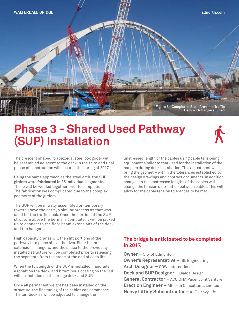

## **Phase 3 - Shared Used Pathway (SUP) Installation**



The crescent shaped, trapezoidal steel box girder will be assembled adjacent to the deck in the third and final phase of construction will occur in the spring of 2017.

Using the same approach as the steel arch, **the SUP girders were fabricated in 25 individual segments.** These will be welded together prior to completion. The fabrication was complicated due to the complex geometry of the girders.

The SUP will be initially assembled on temporary towers above the berm, a similar process as that was used for the traffic deck. Once the portion of the SUP structure above the berms is complete, it will be jacked up to connect to the floor beam extensions of the deck and the hangers.

High capacity cranes will then lift portions of the pathway into place above the river. Floor beam extensions, hangers, and the splice to the previously installed structure will be completed prior to releasing the segments from the crane at the end of each lift.

When the full length of the SUP is installed, handrails, asphalt on the deck, and bituminous coating on the SUP will be installed on the bridge deck and SUP.

Once all permanent weight has been installed on the structure, the fine tuning of the cables can commence. The turnbuckles will be adjusted to change the

unstressed length of the cables using cable tensioning equipment similar to that used for the installation of the hangers during deck installation. This adjustment will bring the geometry within the tolerances established by the design drawings and contract documents. In addition, changes to the unstressed lengths of the cables will change the tension distribution between cables. This will allow for the cable tension tolerances to be met.

#### **The bridge is anticipated to be completed in 2017.**

**Owner –** City of Edmonton **Owner's Representative –** ISL Engineering **Arch Designer –** COWI International **Deck and SUP Designer –** Dialog Design **General Contractor –** ACCIONA Pacer Joint Venture **Erection Engineer –** Allnorth Consultants Limited **Heavy Lifting Subcontractor - ALE Heavy Lift**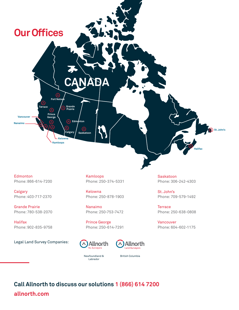

Edmonton Phone: 866-614-7200

**Calgary** Phone: 403-717-2370

Grande Prairie Phone: 780-538-2070

Halifax Phone: 902-835-9758

Legal Land Survey Companies:

Kamloops Phone: 250-374-5331

Kelowna Phone: 250-878-1903

Nanaimo Phone: 250-753-7472

Prince George Phone: 250-614-7291





Newfoundland & Labrador

British Columbia

**Call Allnorth to discuss our solutions 1 (866) 614 7200 allnorth.com**

Saskatoon Phone: 306-242-4303

St. John's Phone: 709-579-1492

**Terrace** Phone: 250-638-0808

Vancouver Phone: 604-602-1175